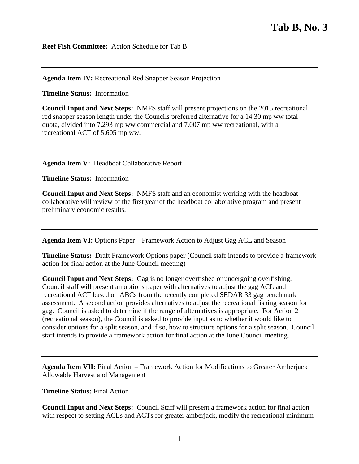**Reef Fish Committee:** Action Schedule for Tab B

## **Agenda Item IV:** Recreational Red Snapper Season Projection

**Timeline Status:** Information

**Council Input and Next Steps:** NMFS staff will present projections on the 2015 recreational red snapper season length under the Councils preferred alternative for a 14.30 mp ww total quota, divided into 7.293 mp ww commercial and 7.007 mp ww recreational, with a recreational ACT of 5.605 mp ww.

## **Agenda Item V:** Headboat Collaborative Report

**Timeline Status:** Information

**Council Input and Next Steps:** NMFS staff and an economist working with the headboat collaborative will review of the first year of the headboat collaborative program and present preliminary economic results.

**Agenda Item VI:** Options Paper – Framework Action to Adjust Gag ACL and Season

**Timeline Status:** Draft Framework Options paper (Council staff intends to provide a framework action for final action at the June Council meeting)

**Council Input and Next Steps:** Gag is no longer overfished or undergoing overfishing. Council staff will present an options paper with alternatives to adjust the gag ACL and recreational ACT based on ABCs from the recently completed SEDAR 33 gag benchmark assessment. A second action provides alternatives to adjust the recreational fishing season for gag. Council is asked to determine if the range of alternatives is appropriate. For Action 2 (recreational season), the Council is asked to provide input as to whether it would like to consider options for a split season, and if so, how to structure options for a split season. Council staff intends to provide a framework action for final action at the June Council meeting.

**Agenda Item VII:** Final Action – Framework Action for Modifications to Greater Amberjack Allowable Harvest and Management

## **Timeline Status:** Final Action

**Council Input and Next Steps:** Council Staff will present a framework action for final action with respect to setting ACLs and ACTs for greater amberjack, modify the recreational minimum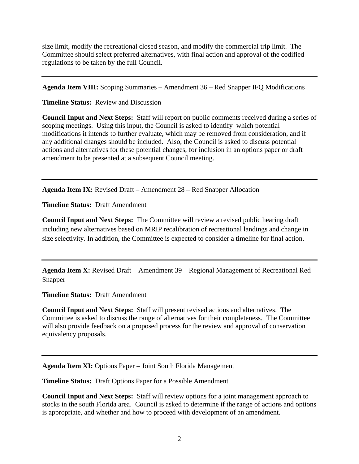size limit, modify the recreational closed season, and modify the commercial trip limit. The Committee should select preferred alternatives, with final action and approval of the codified regulations to be taken by the full Council.

**Agenda Item VIII:** Scoping Summaries – Amendment 36 – Red Snapper IFQ Modifications

**Timeline Status:** Review and Discussion

**Council Input and Next Steps:** Staff will report on public comments received during a series of scoping meetings. Using this input, the Council is asked to identify which potential modifications it intends to further evaluate, which may be removed from consideration, and if any additional changes should be included. Also, the Council is asked to discuss potential actions and alternatives for these potential changes, for inclusion in an options paper or draft amendment to be presented at a subsequent Council meeting.

**Agenda Item IX:** Revised Draft – Amendment 28 – Red Snapper Allocation

**Timeline Status:** Draft Amendment

**Council Input and Next Steps:** The Committee will review a revised public hearing draft including new alternatives based on MRIP recalibration of recreational landings and change in size selectivity. In addition, the Committee is expected to consider a timeline for final action.

**Agenda Item X:** Revised Draft – Amendment 39 – Regional Management of Recreational Red Snapper

**Timeline Status:** Draft Amendment

**Council Input and Next Steps:** Staff will present revised actions and alternatives. The Committee is asked to discuss the range of alternatives for their completeness. The Committee will also provide feedback on a proposed process for the review and approval of conservation equivalency proposals.

**Agenda Item XI:** Options Paper – Joint South Florida Management

**Timeline Status:** Draft Options Paper for a Possible Amendment

**Council Input and Next Steps:** Staff will review options for a joint management approach to stocks in the south Florida area. Council is asked to determine if the range of actions and options is appropriate, and whether and how to proceed with development of an amendment.